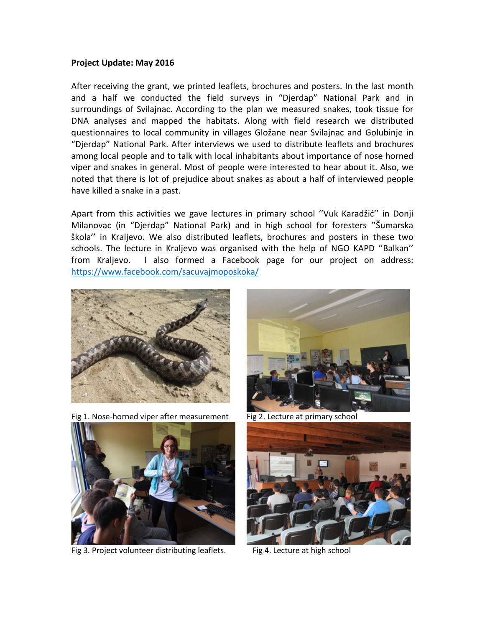## **Project Update: May 2016**

After receiving the grant, we printed leaflets, brochures and posters. In the last month and a half we conducted the field surveys in "Djerdap" National Park and in surroundings of Svilajnac. According to the plan we measured snakes, took tissue for DNA analyses and mapped the habitats. Along with field research we distributed questionnaires to local community in villages Gložane near Svilajnac and Golubinje in "Djerdap" National Park. After interviews we used to distribute leaflets and brochures among local people and to talk with local inhabitants about importance of nose horned viper and snakes in general. Most of people were interested to hear about it. Also, we noted that there is lot of prejudice about snakes as about a half of interviewed people have killed a snake in a past.

Apart from this activities we gave lectures in primary school ''Vuk Karadžić'' in Donji Milanovac (in "Djerdap" National Park) and in high school for foresters ''Šumarska škola'' in Kraljevo. We also distributed leaflets, brochures and posters in these two schools. The lecture in Kraljevo was organised with the help of NGO KAPD ''Balkan'' from Kraljevo. I also formed a Facebook page for our project on address: <https://www.facebook.com/sacuvajmoposkoka/>



Fig 1. Nose-horned viper after measurement Fig 2. Lecture at primary school



Fig 3. Project volunteer distributing leaflets. Fig 4. Lecture at high school